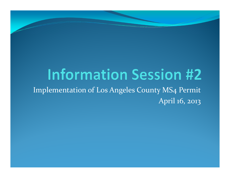## **Information Session #2**

Implementation of Los Angeles County MS4 PermitApril 16, 2013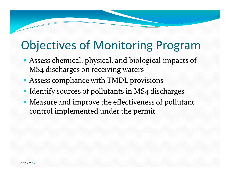## Objectives of Monitoring Program

- Assess chemical, physical, and biological impacts of MS4 discharges on receiving waters
- Assess compliance with TMDL provisions
- Identify sources of pollutants in MS4 discharges
- Measure and improve the effectiveness of pollutant control implemented under the permit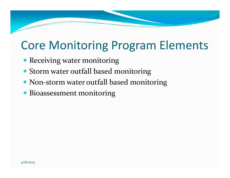## Core Monitoring Program Elements

- Receiving water monitoring
- Storm water outfall based monitoring
- Non-storm water outfall based monitoring
- Bioassessment monitoring

4/16/2013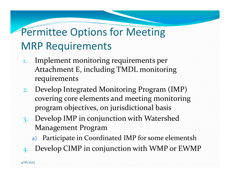### Permittee Options for Meeting MRP Requirements

- 1. Implement monitoring requirements per Attachment E, including TMDL monitoring requirements
- 2. Develop Integrated Monitoring Program (IMP) covering core elements and meeting monitoring program objectives, on jurisdictional basis
- 3. Develop IMP in conjunction with Watershed Management Program
	- a) Participate in Coordinated IMP for some elementsh
- 4.Develop CIMP in conjunction with WMP or EWMP

4/16/2013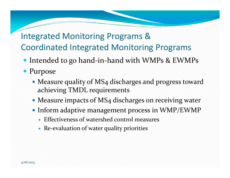### Integrated Monitoring Programs & Coordinated Integrated Monitoring Programs

- Intended to go hand-in-hand with WMPs & EWMPs
- Purpose
	- Measure quality of MS4 discharges and progress toward achieving TMDL requirements
	- Measure impacts of MS4 discharges on receiving water
	- Inform adaptive management process in WMP/EWMP
		- Effectiveness of watershed control measures
		- Re-evaluation of water quality priorities

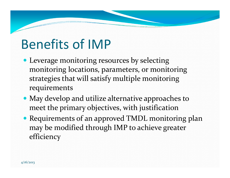## Benefits of IMP

- Leverage monitoring resources by selecting monitoring locations, parameters, or monitoring strategies that will satisfy multiple monitoring requirements
- May develop and utilize alternative approaches to meet the primary objectives, with justification
- Requirements of an approved TMDL monitoring plan may be modified through IMP to achieve greater efficiency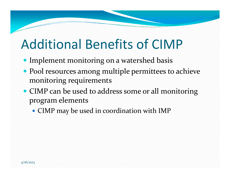## Additional Benefits of CIMP

- Implement monitoring on a watershed basis
- Pool resources among multiple permittees to achieve monitoring requirements
- CIMP can be used to address some or all monitoring program elements
	- CIMP may be used in coordination with IMP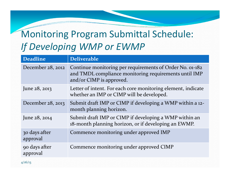### Monitoring Program Submittal Schedule: If Developing WMP or EWMP

| <b>Deadline</b>           | <b>Deliverable</b>                                                                                                                            |
|---------------------------|-----------------------------------------------------------------------------------------------------------------------------------------------|
| December 28, 2012         | Continue monitoring per requirements of Order No. 01-182<br>and TMDL compliance monitoring requirements until IMP<br>and/or CIMP is approved. |
| June 28, 2013             | Letter of intent. For each core monitoring element, indicate<br>whether an IMP or CIMP will be developed.                                     |
| December $28$ , $2013$    | Submit draft IMP or CIMP if developing a WMP within a 12-<br>month planning horizon.                                                          |
| June 28, 2014             | Submit draft IMP or CIMP if developing a WMP within an<br>18-month planning horizon, or if developing an EWMP.                                |
| 30 days after<br>approval | Commence monitoring under approved IMP                                                                                                        |
| 90 days after<br>approval | Commence monitoring under approved CIMP                                                                                                       |
| 4/16/13                   |                                                                                                                                               |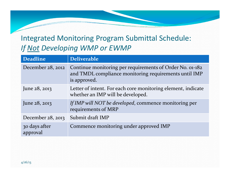#### Integrated Monitoring Program Submittal Schedule: If Not Developing WMP or EWMP

| <b>Deadline</b>           | <b>Deliverable</b>                                                                                                                |
|---------------------------|-----------------------------------------------------------------------------------------------------------------------------------|
| December 28, 2012         | Continue monitoring per requirements of Order No. 01-182<br>and TMDL compliance monitoring requirements until IMP<br>is approved. |
| June $28, 2013$           | Letter of intent. For each core monitoring element, indicate<br>whether an IMP will be developed.                                 |
| June $28, 2013$           | If IMP will NOT be developed, commence monitoring per<br>requirements of MRP                                                      |
| December $28$ , $2013$    | Submit draft IMP                                                                                                                  |
| 30 days after<br>approval | Commence monitoring under approved IMP                                                                                            |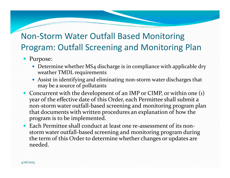#### Non-Storm Water Outfall Based Monitoring Program: Outfall Screening and Monitoring Plan

- Purpose:
	- Determine whether MS4 discharge is in compliance with applicable dry weather TMDL requirements
	- Assist in identifying and eliminating non-storm water discharges that may be a source of pollutants
- Concurrent with the development of an IMP or CIMP, or within one (1) year of the effective date of this Order, each Permittee shall submit a non-storm water outfall-based screening and monitoring program plan that documents with written procedures an explanation of how the program is to be implemented.
- $\bullet$  Each Permittee shall conduct at least one re-assessment of its nonstorm water outfall-based screening and monitoring program during the term of this Order to determine whether changes or updates are needed.

4/16/2013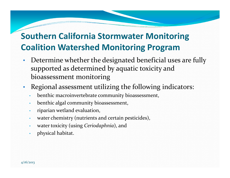#### Southern California Stormwater Monitoring Coalition Watershed Monitoring Program

- Determine whether the designated beneficial uses are fully •supported as determined by aquatic toxicity and bioassessment monitoring
- • Regional assessment utilizing the following indicators:
	- •benthic macroinvertebrate community bioassessment,
	- •benthic algal community bioassessment,
	- •riparian wetland evaluation,
	- •water chemistry (nutrients and certain pesticides),
	- •water toxicity (using Ceriodaphnia), and
	- •physical habitat.